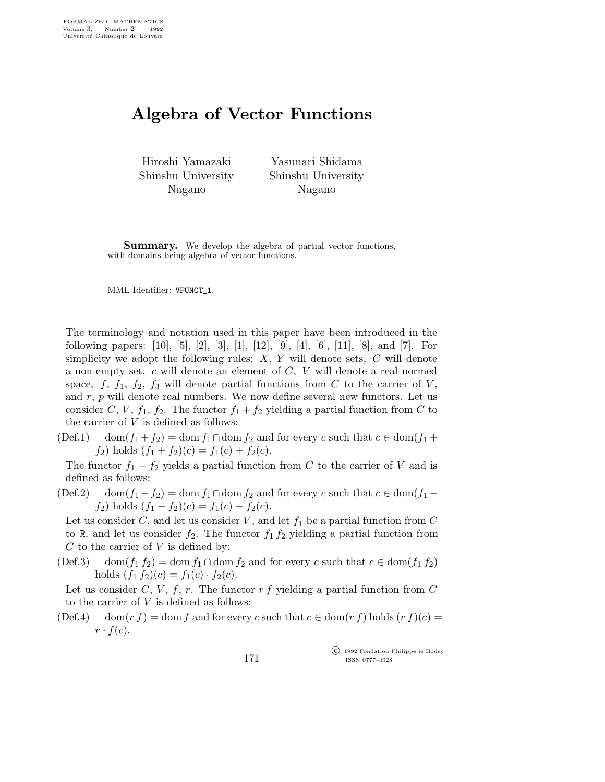## Algebra of Vector Functions

Hiroshi Yamazaki Shinshu University Nagano

Yasunari Shidama Shinshu University Nagano

**Summary.** We develop the algebra of partial vector functions, with domains being algebra of vector functions.

MML Identifier: VFUNCT<sub>-1</sub>.

The terminology and notation used in this paper have been introduced in the following papers: [10], [5], [2], [3], [1], [12], [9], [4], [6], [11], [8], and [7]. For simplicity we adopt the following rules:  $X, Y$  will denote sets,  $C$  will denote a non-empty set, c will denote an element of C, V will denote a real normed space, f,  $f_1$ ,  $f_2$ ,  $f_3$  will denote partial functions from C to the carrier of V, and  $r$ ,  $p$  will denote real numbers. We now define several new functors. Let us consider C, V,  $f_1$ ,  $f_2$ . The functor  $f_1 + f_2$  yielding a partial function from C to the carrier of  $V$  is defined as follows:

(Def.1) dom $(f_1 + f_2) = \text{dom } f_1 \cap \text{dom } f_2$  and for every c such that  $c \in \text{dom}(f_1 + f_2)$  $f_2$ ) holds  $(f_1 + f_2)(c) = f_1(c) + f_2(c)$ .

The functor  $f_1 - f_2$  yields a partial function from C to the carrier of V and is defined as follows:

(Def.2) dom $(f_1 - f_2) = \text{dom } f_1 \cap \text{dom } f_2$  and for every c such that  $c \in \text{dom}(f_1 - f_2)$  $f_2$ ) holds  $(f_1 - f_2)(c) = f_1(c) - f_2(c)$ .

Let us consider  $C$ , and let us consider  $V$ , and let  $f_1$  be a partial function from  $C$ to R, and let us consider  $f_2$ . The functor  $f_1 f_2$  yielding a partial function from  $C$  to the carrier of  $V$  is defined by:

(Def.3) dom $(f_1 f_2) = \text{dom } f_1 \cap \text{dom } f_2$  and for every c such that  $c \in \text{dom}(f_1 f_2)$ holds  $(f_1 f_2)(c) = f_1(c) \cdot f_2(c)$ .

Let us consider C, V, f, r. The functor r f yielding a partial function from C to the carrier of  $V$  is defined as follows:

(Def.4) dom(r f) = dom f and for every c such that  $c \in \text{dom}(r f)$  holds  $(r f)(c)$  =  $r \cdot f(c)$ .

> c 1992 Fondation Philippe le Hodey ISSN 0777–4028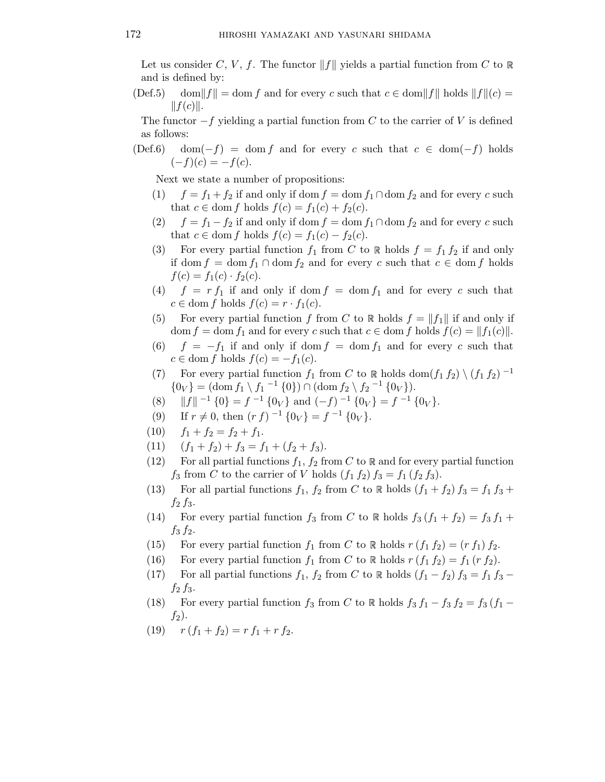Let us consider C, V, f. The functor  $||f||$  yields a partial function from C to R and is defined by:

(Def.5) dom||f|| = dom f and for every c such that  $c \in \text{dom} ||f||$  holds  $||f||(c) =$  $||f(c)||.$ 

The functor  $-f$  yielding a partial function from C to the carrier of V is defined as follows:

(Def.6) dom(-f) = dom f and for every c such that  $c \in \text{dom}(-f)$  holds  $(-f)(c) = -f(c).$ 

Next we state a number of propositions:

- (1)  $f = f_1 + f_2$  if and only if dom  $f = \text{dom } f_1 \cap \text{dom } f_2$  and for every c such that  $c \in \text{dom } f$  holds  $f(c) = f_1(c) + f_2(c)$ .
- (2)  $f = f_1 f_2$  if and only if dom  $f = \text{dom } f_1 \cap \text{dom } f_2$  and for every c such that  $c \in \text{dom } f$  holds  $f(c) = f_1(c) - f_2(c)$ .
- (3) For every partial function  $f_1$  from C to R holds  $f = f_1 f_2$  if and only if dom  $f = \text{dom } f_1 \cap \text{dom } f_2$  and for every c such that  $c \in \text{dom } f$  holds  $f(c) = f_1(c) \cdot f_2(c)$ .
- (4)  $f = rf_1$  if and only if dom  $f = dom f_1$  and for every c such that  $c \in \text{dom } f \text{ holds } f(c) = r \cdot f_1(c).$
- (5) For every partial function f from C to R holds  $f = ||f_1||$  if and only if dom  $f = \text{dom } f_1$  and for every c such that  $c \in \text{dom } f$  holds  $f(c) = ||f_1(c)||$ .
- (6)  $f = -f_1$  if and only if dom  $f = \text{dom } f_1$  and for every c such that  $c \in \text{dom } f$  holds  $f(c) = -f_1(c)$ .
- (7) For every partial function  $f_1$  from C to R holds dom $(f_1 f_2) \setminus (f_1 f_2)^{-1}$  $\{0_V\} = (\text{dom} f_1 \setminus f_1^{-1} \{0\}) \cap (\text{dom} f_2 \setminus f_2^{-1} \{0_V\}).$
- (8)  $||f||^{-1} \{0\} = f^{-1} \{0_V\}$  and  $(-f)^{-1} \{0_V\} = f^{-1} \{0_V\}.$
- (9) If  $r \neq 0$ , then  $(r f)^{-1} \{0_V\} = f^{-1} \{0_V\}.$
- (10)  $f_1 + f_2 = f_2 + f_1.$
- (11)  $(f_1 + f_2) + f_3 = f_1 + (f_2 + f_3).$
- (12) For all partial functions  $f_1, f_2$  from C to R and for every partial function  $f_3$  from C to the carrier of V holds  $(f_1 f_2) f_3 = f_1 (f_2 f_3)$ .
- (13) For all partial functions  $f_1$ ,  $f_2$  from C to R holds  $(f_1 + f_2) f_3 = f_1 f_3 + f_2 f_3$  $f_2 f_3$ .
- (14) For every partial function  $f_3$  from C to R holds  $f_3$   $(f_1 + f_2) = f_3 f_1 + f_2$  $f_3 f_2$ .
- (15) For every partial function  $f_1$  from C to R holds  $r(f_1 f_2) = (r f_1) f_2$ .
- (16) For every partial function  $f_1$  from C to R holds  $r (f_1 f_2) = f_1 (r f_2)$ .
- (17) For all partial functions  $f_1$ ,  $f_2$  from C to R holds  $(f_1 f_2) f_3 = f_1 f_3$   $f_2 f_3$ .
- (18) For every partial function  $f_3$  from C to R holds  $f_3 f_1 f_3 f_2 = f_3 (f_1 f_2)$  $f_2$ ).
- (19)  $r (f_1 + f_2) = r f_1 + r f_2.$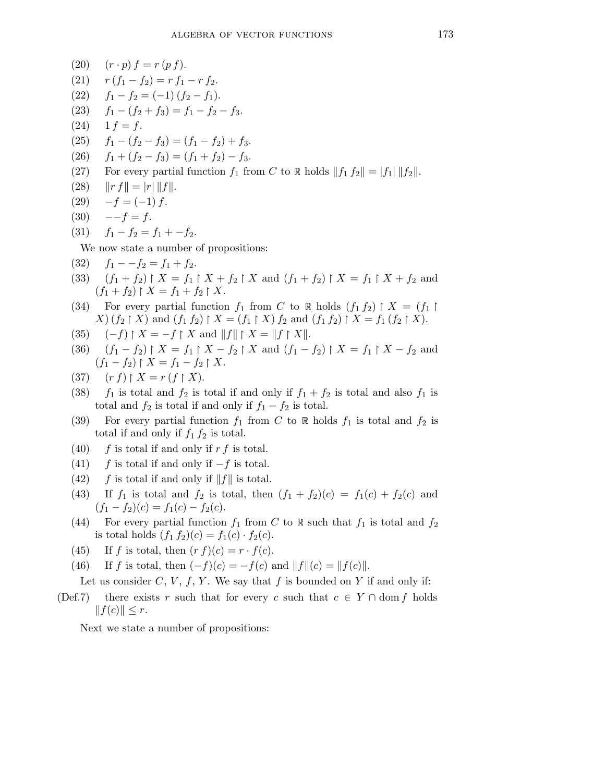\n- (20) 
$$
(r \cdot p) f = r(p f)
$$
.
\n- (21)  $r(f_1 - f_2) = r f_1 - r f_2$ .
\n- (22)  $f_1 - f_2 = (-1)(f_2 - f_1)$ .
\n- (23)  $f_1 - (f_2 + f_3) = f_1 - f_2 - f_3$ .
\n- (24)  $1 f = f$ .
\n- (25)  $f_1 - (f_2 - f_3) = (f_1 - f_2) + f_3$ .
\n- (26)  $f_1 + (f_2 - f_3) = (f_1 + f_2) - f_3$ .
\n- (27) For every partial function  $f_1$  from  $C$  to  $\mathbb{R}$  holds  $||f_1 f_2|| = |f_1|| |f_2||$ .
\n- (28)  $||r f|| = |r|| |f||$ .
\n- (30)  $-f = (-1) f$ .
\n- (31)  $f_1 - f_2 = f_1 + f_2$ .
\n- (32)  $f_1 - -f_2 = f_1 + f_2$ .
\n- (33)  $(f_1 + f_2) \mid X = f_1 \mid X + f_2 \mid X$  and  $(f_1 + f_2) \mid X = f_1 \mid f_2 \mid X$ .
\n- (34) For every partial function  $f_1$  from  $C$  to  $\mathbb{R}$  holds  $(f_1 f_2) \mid X = (f_1 \mid X)(f_2 \mid X)$  and  $(f_1 f_2) \mid X = (f_1 \mid X)(f_2 \mid X)$  and  $(f_1 f_2) \mid X = f_1 \mid f_2 \mid X$ .
\n- (35)  $(-f) \mid X = -f \mid X$  and  $||f|| \mid X = ||f \mid X||$ .
\n- (36)  $(f_1 - f_2) \mid X = f_1 \mid X - f_2 \mid X$  and

(45) If f is total, then  $(r f)(c) = r \cdot f(c)$ .

(46) If f is total, then  $(-f)(c) = -f(c)$  and  $||f||(c) = ||f(c)||$ .

Let us consider  $C, V, f, Y$ . We say that f is bounded on Y if and only if:

(Def.7) there exists r such that for every c such that  $c \in Y \cap \text{dom } f$  holds  $||f(c)|| \leq r.$ 

Next we state a number of propositions: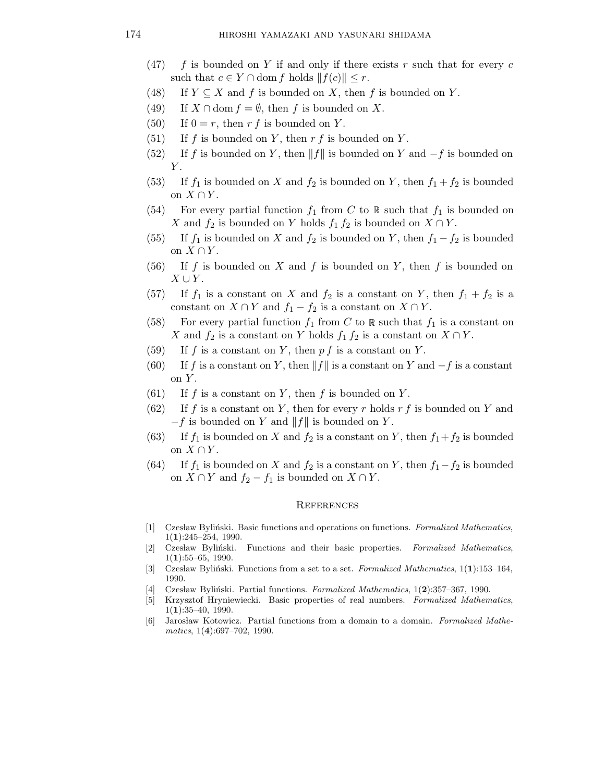- (47) f is bounded on Y if and only if there exists r such that for every c such that  $c \in Y \cap$  dom f holds  $||f(c)|| \leq r$ .
- (48) If  $Y \subseteq X$  and f is bounded on X, then f is bounded on Y.
- (49) If  $X \cap \text{dom } f = \emptyset$ , then f is bounded on X.
- (50) If  $0 = r$ , then r f is bounded on Y.
- (51) If f is bounded on Y, then  $r f$  is bounded on Y.
- (52) If f is bounded on Y, then  $||f||$  is bounded on Y and  $-f$  is bounded on  $Y$ .
- (53) If  $f_1$  is bounded on X and  $f_2$  is bounded on Y, then  $f_1 + f_2$  is bounded on  $X \cap Y$ .
- (54) For every partial function  $f_1$  from C to R such that  $f_1$  is bounded on X and  $f_2$  is bounded on Y holds  $f_1 f_2$  is bounded on  $X \cap Y$ .
- (55) If  $f_1$  is bounded on X and  $f_2$  is bounded on Y, then  $f_1 f_2$  is bounded on  $X \cap Y$ .
- (56) If f is bounded on X and f is bounded on Y, then f is bounded on  $X \cup Y$ .
- (57) If  $f_1$  is a constant on X and  $f_2$  is a constant on Y, then  $f_1 + f_2$  is a constant on  $X \cap Y$  and  $f_1 - f_2$  is a constant on  $X \cap Y$ .
- (58) For every partial function  $f_1$  from C to R such that  $f_1$  is a constant on X and  $f_2$  is a constant on Y holds  $f_1 f_2$  is a constant on  $X \cap Y$ .
- (59) If f is a constant on Y, then  $pf$  is a constant on Y.
- (60) If f is a constant on Y, then  $||f||$  is a constant on Y and  $-f$  is a constant on  $Y$ .
- (61) If f is a constant on Y, then f is bounded on Y.
- (62) If f is a constant on Y, then for every r holds  $r f$  is bounded on Y and  $-f$  is bounded on Y and  $||f||$  is bounded on Y.
- (63) If  $f_1$  is bounded on X and  $f_2$  is a constant on Y, then  $f_1+f_2$  is bounded on  $X \cap Y$ .
- (64) If  $f_1$  is bounded on X and  $f_2$  is a constant on Y, then  $f_1-f_2$  is bounded on  $X \cap Y$  and  $f_2 - f_1$  is bounded on  $X \cap Y$ .

## **REFERENCES**

- [1] Czesław Byliński. Basic functions and operations on functions. Formalized Mathematics, 1(1):245–254, 1990.
- [2] Czesław Byliński. Functions and their basic properties. Formalized Mathematics, 1(1):55–65, 1990.
- [3] Czesław Byliński. Functions from a set to a set. Formalized Mathematics,  $1(1):153-164$ , 1990.
- [4] Czesław Byliński. Partial functions. Formalized Mathematics, 1(2):357–367, 1990.
- [5] Krzysztof Hryniewiecki. Basic properties of real numbers. Formalized Mathematics,  $1(1):35-40, 1990.$
- [6] Jarosław Kotowicz. Partial functions from a domain to a domain. Formalized Mathematics, 1(4):697-702, 1990.